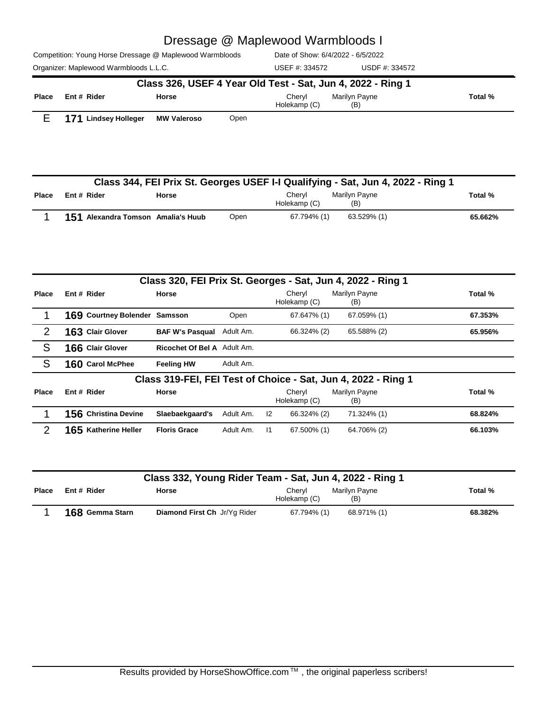|       | Class 332, Young Rider Team - Sat, Jun 4, 2022 - Ring 1 |                              |                                                |         |  |  |  |  |  |  |
|-------|---------------------------------------------------------|------------------------------|------------------------------------------------|---------|--|--|--|--|--|--|
| Place | Ent # Rider                                             | <b>Horse</b>                 | Marilyn Payne<br>Chervl<br>Holekamp (C)<br>(B) | Total % |  |  |  |  |  |  |
|       | 168 Gemma Starn                                         | Diamond First Ch Jr/Yg Rider | 68.971% (1)<br>67.794% (1)                     | 68.382% |  |  |  |  |  |  |

|               | 169 Courtney Bolender Samsson |                                  | Open      | 67.647% (1)                                                   | 67.059% (1)          | 67.353% |
|---------------|-------------------------------|----------------------------------|-----------|---------------------------------------------------------------|----------------------|---------|
| $\mathcal{P}$ | <b>163 Clair Glover</b>       | <b>BAF W's Pasqual</b> Adult Am. |           | 66.324% (2)                                                   | 65.588% (2)          | 65.956% |
| S             | 166 Clair Glover              | Ricochet Of Bel A Adult Am.      |           |                                                               |                      |         |
| S             | 160 Carol McPhee              | <b>Feeling HW</b>                | Adult Am. |                                                               |                      |         |
|               |                               |                                  |           | Class 319-FEI, FEI Test of Choice - Sat, Jun 4, 2022 - Ring 1 |                      |         |
| Place         | Ent # Rider                   | <b>Horse</b>                     |           | Chervl<br>Holekamp (C)                                        | Marilyn Payne<br>(B) | Total % |
|               | 156 Christina Devine          | Slaebaekgaard's                  | Adult Am. | $\mathsf{I2}$<br>66.324% (2)                                  | 71.324% (1)          | 68.824% |
|               | 165 Katherine Heller          | <b>Floris Grace</b>              | Adult Am. | $\overline{11}$<br>67.500% (1)                                | 64.706% (2)          | 66.103% |

Cheryl Holekamp (C)

(B)

|              | Class 344, FEI Prix St. Georges USEF I-I Qualifying - Sat, Jun 4, 2022 - Ring 1 |                                    |      |                        |                      |         |  |  |  |  |  |
|--------------|---------------------------------------------------------------------------------|------------------------------------|------|------------------------|----------------------|---------|--|--|--|--|--|
| <b>Place</b> | Ent # Rider                                                                     | Horse                              |      | Chervl<br>Holekamp (C) | Marilyn Payne<br>(B) | Total % |  |  |  |  |  |
|              |                                                                                 | 151 Alexandra Tomson Amalia's Huub | Open | 67.794% (1)            | 63.529% (1)          | 65.662% |  |  |  |  |  |

**Place Ent # Rider Horse Cheryl Marilyn Payne <b>Total** %

**Class 320, FEI Prix St. Georges - Sat, Jun 4, 2022 - Ring 1**

|                                                             | Organizer: Maplewood Warmbloods L.L.C. |                    | USEF #: 334572         | USDF #: 334572       |         |  |  |  |
|-------------------------------------------------------------|----------------------------------------|--------------------|------------------------|----------------------|---------|--|--|--|
| Class 326, USEF 4 Year Old Test - Sat, Jun 4, 2022 - Ring 1 |                                        |                    |                        |                      |         |  |  |  |
| <b>Place</b>                                                | Ent # Rider                            | <b>Horse</b>       | Chervl<br>Holekamp (C) | Marilvn Pavne<br>(B) | Total % |  |  |  |
|                                                             | 171<br><b>Lindsey Holleger</b>         | <b>MW Valeroso</b> | Open                   |                      |         |  |  |  |

# Dressage @ Maplewood Warmbloods I

Date of Show: 6/4/2022 - 6/5/2022

Competition: Young Horse Dressage @ Maplewood Warmbloods

**Ent #**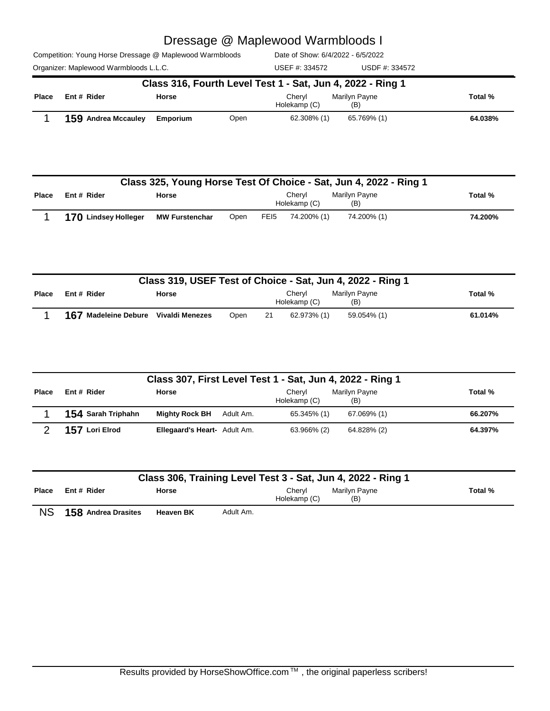|  |  | Competition: Young Horse Dressage @ Maplewood Warmbloods |  |
|--|--|----------------------------------------------------------|--|
|  |  |                                                          |  |

Date of Show: 6/4/2022 - 6/5/2022

Organizer: Maplewood Warmbloods L.L.C. Charges and Muslem USDF #: 334572 USDF #: 334572 USEF #: 334572

| Class 316, Fourth Level Test 1 - Sat, Jun 4, 2022 - Ring 1 |                            |              |      |                        |                      |         |  |  |  |
|------------------------------------------------------------|----------------------------|--------------|------|------------------------|----------------------|---------|--|--|--|
| Place                                                      | Ent # Rider                | <b>Horse</b> |      | Chervl<br>Holekamp (C) | Marilyn Payne<br>(B) | Total % |  |  |  |
|                                                            | <b>159 Andrea Mccauley</b> | Emporium     | Open | 62.308% (1)            | 65.769% (1)          | 64.038% |  |  |  |

|              | Class 325, Young Horse Test Of Choice - Sat, Jun 4, 2022 - Ring 1 |                       |      |                  |                        |                      |         |  |  |  |  |
|--------------|-------------------------------------------------------------------|-----------------------|------|------------------|------------------------|----------------------|---------|--|--|--|--|
| <b>Place</b> | Ent # Rider                                                       | <b>Horse</b>          |      |                  | Chervl<br>Holekamp (C) | Marilyn Payne<br>(B) | Total % |  |  |  |  |
|              | 170 Lindsey Holleger                                              | <b>MW Furstenchar</b> | Open | FE <sub>15</sub> | 74.200% (1)            | 74.200% (1)          | 74.200% |  |  |  |  |

|       | Class 319, USEF Test of Choice - Sat, Jun 4, 2022 - Ring 1 |              |      |     |                        |                      |  |         |  |  |
|-------|------------------------------------------------------------|--------------|------|-----|------------------------|----------------------|--|---------|--|--|
| Place | Ent # Rider                                                | <b>Horse</b> |      |     | Chervl<br>Holekamp (C) | Marilvn Pavne<br>(B) |  | Total % |  |  |
|       | 167 Madeleine Debure Vivaldi Menezes                       |              | Open | -21 | 62.973% (1)            | 59.054% (1)          |  | 61.014% |  |  |

|       | Class 307, First Level Test 1 - Sat, Jun 4, 2022 - Ring 1 |                              |           |                        |                      |         |  |  |  |  |  |
|-------|-----------------------------------------------------------|------------------------------|-----------|------------------------|----------------------|---------|--|--|--|--|--|
| Place | Ent # Rider                                               | <b>Horse</b>                 |           | Chervl<br>Holekamp (C) | Marilyn Payne<br>(B) | Total % |  |  |  |  |  |
|       | 154 Sarah Triphahn                                        | <b>Mighty Rock BH</b>        | Adult Am. | 65.345% (1)            | 67.069% (1)          | 66.207% |  |  |  |  |  |
|       | 157 Lori Elrod                                            | Ellegaard's Heart- Adult Am. |           | 63.966% (2)            | 64.828% (2)          | 64.397% |  |  |  |  |  |

|              | Class 306, Training Level Test 3 - Sat, Jun 4, 2022 - Ring 1 |                  |               |                                                |  |         |  |  |  |  |  |
|--------------|--------------------------------------------------------------|------------------|---------------|------------------------------------------------|--|---------|--|--|--|--|--|
| <b>Place</b> | Ent # Rider                                                  | Horse            |               | Chervl<br>Marilyn Payne<br>Holekamp (C)<br>(B) |  | Total % |  |  |  |  |  |
| <b>NIC</b>   | <b>AEO</b> Andrea Dracitos                                   | <b>Hooven DV</b> | $A$ dult $Am$ |                                                |  |         |  |  |  |  |  |

NS **158 Andrea Drasites Heaven BK** Adult Am.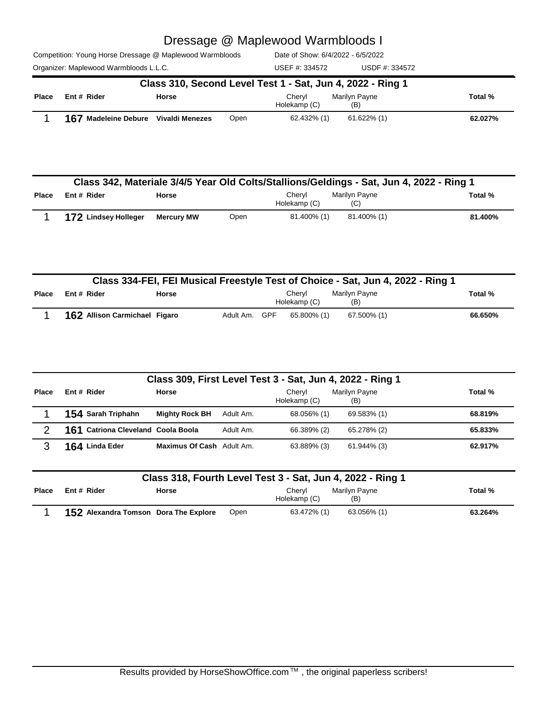|  |  |  |  | Competition: Young Horse Dressage @ Maplewood Warmbloods |  |
|--|--|--|--|----------------------------------------------------------|--|
|  |  |  |  |                                                          |  |

Date of Show: 6/4/2022 - 6/5/2022

Organizer: Maplewood Warmbloods L.L.C. Charges and Muslem USDF #: 334572 USDF #: 334572 USEF #: 334572

|              | Class 310, Second Level Test 1 - Sat, Jun 4, 2022 - Ring 1 |       |      |                        |                      |         |  |  |  |  |  |
|--------------|------------------------------------------------------------|-------|------|------------------------|----------------------|---------|--|--|--|--|--|
| <b>Place</b> | Ent # Rider                                                | Horse |      | Chervl<br>Holekamp (C) | Marilvn Pavne<br>(B) | Total % |  |  |  |  |  |
|              | 167 Madeleine Debure Vivaldi Menezes                       |       | Open | 62.432% (1)            | 61.622% (1)          | 62.027% |  |  |  |  |  |

|              | Class 342, Materiale 3/4/5 Year Old Colts/Stallions/Geldings - Sat, Jun 4, 2022 - Ring 1 |                   |      |                        |                      |         |  |  |
|--------------|------------------------------------------------------------------------------------------|-------------------|------|------------------------|----------------------|---------|--|--|
| <b>Place</b> | Ent # Rider                                                                              | Horse             |      | Chervl<br>Holekamp (C) | Marilvn Pavne<br>(C) | Total % |  |  |
|              | 172 Lindsey Holleger                                                                     | <b>Mercury MW</b> | Open | 81.400% (1)            | 81.400% (1)          | 81.400% |  |  |

|       | Class 334-FEI, FEI Musical Freestyle Test of Choice - Sat, Jun 4, 2022 - Ring 1 |                               |              |                                                           |  |             |             |         |
|-------|---------------------------------------------------------------------------------|-------------------------------|--------------|-----------------------------------------------------------|--|-------------|-------------|---------|
| Place | Ent # Rider                                                                     |                               | <b>Horse</b> | Marilyn Payne<br>Chervl<br>Total %<br>Holekamp (C)<br>(B) |  |             |             |         |
|       |                                                                                 | 162 Allison Carmichael Figaro |              | Adult Am. GPF                                             |  | 65.800% (1) | 67.500% (1) | 66.650% |

|       | Class 309, First Level Test 3 - Sat, Jun 4, 2022 - Ring 1 |                                  |           |                        |                      |         |  |  |
|-------|-----------------------------------------------------------|----------------------------------|-----------|------------------------|----------------------|---------|--|--|
| Place | Ent # Rider                                               | <b>Horse</b>                     |           | Cheryl<br>Holekamp (C) | Marilyn Payne<br>(B) | Total % |  |  |
|       | 154 Sarah Triphahn                                        | <b>Mighty Rock BH</b>            | Adult Am. | 68.056% (1)            | 69.583% (1)          | 68.819% |  |  |
| ◠     | 161 Catriona Cleveland Coola Boola                        |                                  | Adult Am. | 66.389% (2)            | 65.278% (2)          | 65.833% |  |  |
| 3     | 164 Linda Eder                                            | <b>Maximus Of Cash</b> Adult Am. |           | 63.889% (3)            | 61.944% (3)          | 62.917% |  |  |

|       | Class 318, Fourth Level Test 3 - Sat, Jun 4, 2022 - Ring 1             |                                       |      |             |             |         |  |  |
|-------|------------------------------------------------------------------------|---------------------------------------|------|-------------|-------------|---------|--|--|
| Place | Ent # Rider<br><b>Horse</b><br>Marilyn Payne<br>Chervl<br>Holekamp (C) |                                       |      |             |             | Total % |  |  |
|       |                                                                        | 152 Alexandra Tomson Dora The Explore | Open | 63.472% (1) | 63.056% (1) | 63.264% |  |  |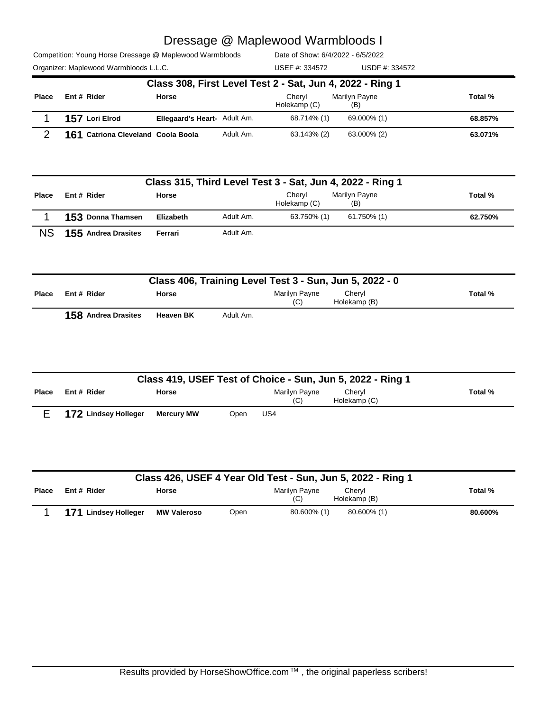| Competition: Young Horse Dressage @ Maplewood Warmbloods |  |
|----------------------------------------------------------|--|
| $Q$ rasaizer: Monleuceal Warmbloode LLC                  |  |

Date of Show: 6/4/2022 - 6/5/2022

| Organizer: Maplewood Warmbloods L.L.C. | USEF #: 334572 | USDF #: 334572 |
|----------------------------------------|----------------|----------------|
|                                        |                |                |

|              | Class 308, First Level Test 2 - Sat, Jun 4, 2022 - Ring 1 |                                     |           |                        |                      |         |  |  |
|--------------|-----------------------------------------------------------|-------------------------------------|-----------|------------------------|----------------------|---------|--|--|
| <b>Place</b> | Ent # Rider                                               | <b>Horse</b>                        |           | Chervl<br>Holekamp (C) | Marilyn Payne<br>(B) | Total % |  |  |
|              | 157 Lori Elrod                                            | <b>Ellegaard's Heart- Adult Am.</b> |           | 68.714% (1)            | 69.000% (1)          | 68.857% |  |  |
|              | 161 Catriona Cleveland Coola Boola                        |                                     | Adult Am. | 63.143% (2)            | 63.000% (2)          | 63.071% |  |  |

|              | Class 315, Third Level Test 3 - Sat, Jun 4, 2022 - Ring 1 |              |           |                        |                      |         |  |  |  |
|--------------|-----------------------------------------------------------|--------------|-----------|------------------------|----------------------|---------|--|--|--|
| <b>Place</b> | Ent # Rider                                               | <b>Horse</b> |           | Chervl<br>Holekamp (C) | Marilyn Payne<br>(B) | Total % |  |  |  |
|              | 153 Donna Thamsen                                         | Elizabeth    | Adult Am. | 63.750% (1)            | 61.750% (1)          | 62.750% |  |  |  |
| NS.          | 155 Andrea Drasites                                       | Ferrari      | Adult Am. |                        |                      |         |  |  |  |

|              | Class 406, Training Level Test 3 - Sun, Jun 5, 2022 - 0 |                  |           |                      |                        |         |  |
|--------------|---------------------------------------------------------|------------------|-----------|----------------------|------------------------|---------|--|
| <b>Place</b> | Ent # Rider                                             | Horse            |           | Marilyn Payne<br>(C) | Chervl<br>Holekamp (B) | Total % |  |
|              | <b>158 Andrea Drasites</b>                              | <b>Heaven BK</b> | Adult Am. |                      |                        |         |  |

|       | Class 419, USEF Test of Choice - Sun, Jun 5, 2022 - Ring 1 |                   |             |                      |                        |         |  |  |  |
|-------|------------------------------------------------------------|-------------------|-------------|----------------------|------------------------|---------|--|--|--|
| Place | Ent # Rider                                                | <b>Horse</b>      |             | Marilyn Payne<br>(C) | Chervl<br>Holekamp (C) | Total % |  |  |  |
|       | 172 Lindsey Holleger                                       | <b>Mercury MW</b> | <b>Open</b> | US4                  |                        |         |  |  |  |

|       | Class 426, USEF 4 Year Old Test - Sun, Jun 5, 2022 - Ring 1 |                    |      |                      |                        |         |  |  |
|-------|-------------------------------------------------------------|--------------------|------|----------------------|------------------------|---------|--|--|
| Place | Ent # Rider                                                 | Horse              |      | Marilyn Payne<br>(C) | Cheryl<br>Holekamp (B) | Total % |  |  |
|       | 171 Lindsey Holleger                                        | <b>MW Valeroso</b> | Open | 80.600% (1)          | 80.600% (1)            | 80.600% |  |  |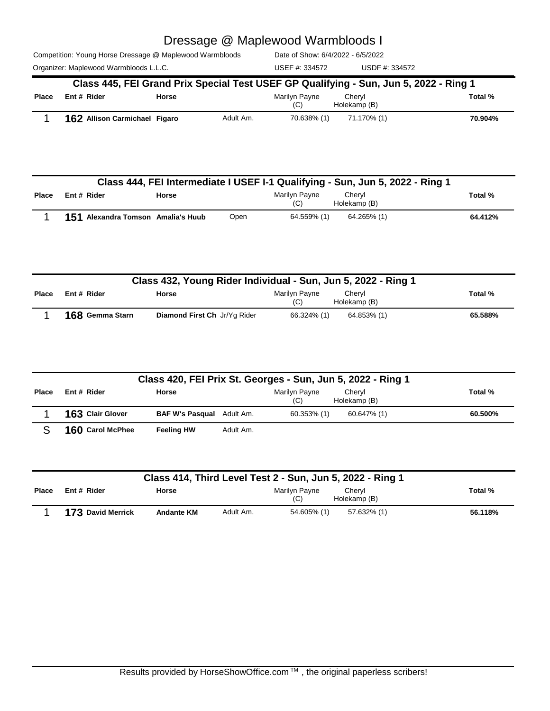Competition: Young Horse Dressage @ Maplewood Warmbloods

Organizer: Maplewood Warmbloods L.L.C. Charges and COSS USDF #: 334572 USDF #: 334572

Date of Show: 6/4/2022 - 6/5/2022 USEF #: 334572

|              |                               |       | Class 445, FEI Grand Prix Special Test USEF GP Qualifying - Sun, Jun 5, 2022 - Ring 1 |                      |                        |         |
|--------------|-------------------------------|-------|---------------------------------------------------------------------------------------|----------------------|------------------------|---------|
| <b>Place</b> | Ent # Rider                   | Horse |                                                                                       | Marilyn Payne<br>(C) | Chervl<br>Holekamp (B) | Total % |
|              | 162 Allison Carmichael Figaro |       | Adult Am.                                                                             | 70.638% (1)          | 71.170% (1)            | 70.904% |

|              |                                    |              |      |                      | Class 444, FEI Intermediate I USEF I-1 Qualifying - Sun, Jun 5, 2022 - Ring 1 |         |
|--------------|------------------------------------|--------------|------|----------------------|-------------------------------------------------------------------------------|---------|
| <b>Place</b> | Ent#Rider                          | <b>Horse</b> |      | Marilyn Payne<br>(C) | Cheryl<br>Holekamp (B)                                                        | Total % |
|              | 151 Alexandra Tomson Amalia's Huub |              | Open | 64.559% (1)          | 64.265% (1)                                                                   | 64.412% |

| Class 432, Young Rider Individual - Sun, Jun 5, 2022 - Ring 1 |                 |                              |                      |                        |         |
|---------------------------------------------------------------|-----------------|------------------------------|----------------------|------------------------|---------|
| Place                                                         | Ent # Rider     | Horse                        | Marilyn Payne<br>(C) | Chervl<br>Holekamp (B) | Total % |
|                                                               | 168 Gemma Starn | Diamond First Ch Jr/Yq Rider | 66.324% (1)          | 64.853% (1)            | 65.588% |

| Class 420, FEI Prix St. Georges - Sun, Jun 5, 2022 - Ring 1 |                         |                                  |           |                      |                        |         |
|-------------------------------------------------------------|-------------------------|----------------------------------|-----------|----------------------|------------------------|---------|
| <b>Place</b>                                                | Ent # Rider             | <b>Horse</b>                     |           | Marilyn Payne<br>(C) | Cheryl<br>Holekamp (B) | Total % |
|                                                             | <b>163 Clair Glover</b> | <b>BAF W's Pasqual</b> Adult Am. |           | $60.353\%$ (1)       | 60.647% (1)            | 60.500% |
|                                                             | 160 Carol McPhee        | <b>Feeling HW</b>                | Adult Am. |                      |                        |         |

|              | Class 414, Third Level Test 2 - Sun, Jun 5, 2022 - Ring 1 |                   |           |                      |                        |         |
|--------------|-----------------------------------------------------------|-------------------|-----------|----------------------|------------------------|---------|
| <b>Place</b> | Ent # Rider                                               | <b>Horse</b>      |           | Marilyn Payne<br>(C) | Chervl<br>Holekamp (B) | Total % |
|              | <b>173 David Merrick</b>                                  | <b>Andante KM</b> | Adult Am. | 54.605% (1)          | 57.632% (1)            | 56.118% |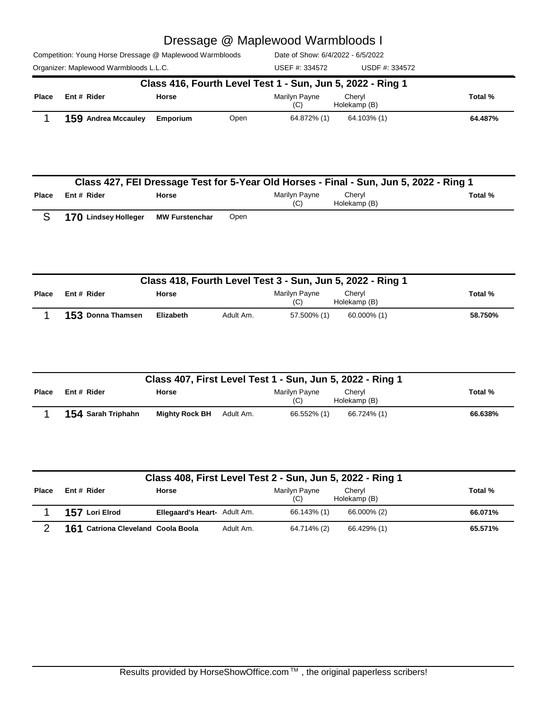#### te of Show: 6/4/2022 - 6/5/2022 Dressage @ Maplewood Warmbloods I

|  |  |  |  | Competition: Young Horse Dressage @ Maplewood Warmbloods | Date |
|--|--|--|--|----------------------------------------------------------|------|
|  |  |  |  |                                                          |      |

USEF #: 334572

| Organizer: Maplewood Warmbloods L.L.C. |                                                            |              |      | USEF #: 334572       | USDF #: 334572         |         |
|----------------------------------------|------------------------------------------------------------|--------------|------|----------------------|------------------------|---------|
|                                        | Class 416, Fourth Level Test 1 - Sun, Jun 5, 2022 - Ring 1 |              |      |                      |                        |         |
| <b>Place</b>                           | Ent # Rider                                                | <b>Horse</b> |      | Marilyn Payne<br>(C) | Chervl<br>Holekamp (B) | Total % |
|                                        | <b>159 Andrea Mccauley</b>                                 | Emporium     | Open | 64.872% (1)          | 64.103% (1)            | 64.487% |

|       | Class 427, FEI Dressage Test for 5-Year Old Horses - Final - Sun, Jun 5, 2022 - Ring 1 |                       |      |                      |                        |         |  |
|-------|----------------------------------------------------------------------------------------|-----------------------|------|----------------------|------------------------|---------|--|
| Place | Ent # Rider                                                                            | <b>Horse</b>          |      | Marilyn Payne<br>(C) | Chervl<br>Holekamp (B) | Total % |  |
|       | 170 Lindsey Holleger                                                                   | <b>MW Furstenchar</b> | Open |                      |                        |         |  |

|       | Class 418, Fourth Level Test 3 - Sun, Jun 5, 2022 - Ring 1 |              |           |                      |                        |         |
|-------|------------------------------------------------------------|--------------|-----------|----------------------|------------------------|---------|
| Place | Ent # Rider                                                | <b>Horse</b> |           | Marilyn Payne<br>(C) | Chervl<br>Holekamp (B) | Total % |
|       | 153 Donna Thamsen                                          | Elizabeth    | Adult Am. | 57.500% (1)          | 60.000% (1)            | 58.750% |

|              | Class 407, First Level Test 1 - Sun, Jun 5, 2022 - Ring 1 |                       |           |                      |                        |         |
|--------------|-----------------------------------------------------------|-----------------------|-----------|----------------------|------------------------|---------|
| <b>Place</b> | Ent # Rider                                               | <b>Horse</b>          |           | Marilyn Payne<br>(C) | Chervl<br>Holekamp (B) | Total % |
|              | 154 Sarah Triphahn                                        | <b>Mighty Rock BH</b> | Adult Am. | 66.552% (1)          | 66.724% (1)            | 66.638% |

| Class 408, First Level Test 2 - Sun, Jun 5, 2022 - Ring 1 |                                    |                              |           |                      |                        |         |
|-----------------------------------------------------------|------------------------------------|------------------------------|-----------|----------------------|------------------------|---------|
| <b>Place</b>                                              | Ent # Rider                        | <b>Horse</b>                 |           | Marilyn Payne<br>(C) | Cheryl<br>Holekamp (B) | Total % |
|                                                           | 157 Lori Elrod                     | Ellegaard's Heart- Adult Am. |           | 66.143% (1)          | 66.000% (2)            | 66.071% |
|                                                           | 161 Catriona Cleveland Coola Boola |                              | Adult Am. | 64.714% (2)          | 66.429% (1)            | 65.571% |